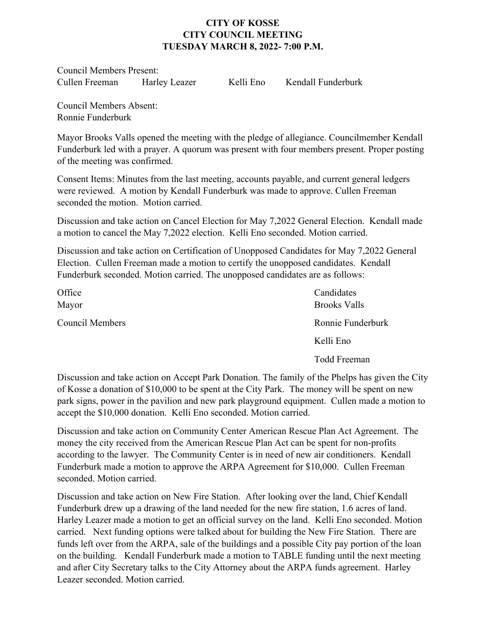## **CITY OF KOSSE CITY COUNCIL MEETING TUESDAY MARCH 8, 2022- 7:00 P.M.**

Council Members Present: Cullen Freeman Harley Leazer Kelli Eno Kendall Funderburk

Council Members Absent: Ronnie Funderburk

Mayor Brooks Valls opened the meeting with the pledge of allegiance. Councilmember Kendall Funderburk led with a prayer. A quorum was present with four members present. Proper posting of the meeting was confirmed.

Consent Items: Minutes from the last meeting, accounts payable, and current general ledgers were reviewed. A motion by Kendall Funderburk was made to approve. Cullen Freeman seconded the motion. Motion carried.

Discussion and take action on Cancel Election for May 7,2022 General Election. Kendall made a motion to cancel the May 7,2022 election. Kelli Eno seconded. Motion carried.

Discussion and take action on Certification of Unopposed Candidates for May 7,2022 General Election. Cullen Freeman made a motion to certify the unopposed candidates. Kendall Funderburk seconded. Motion carried. The unopposed candidates are as follows:

| Office<br>Mayor | Candidates<br><b>Brooks Valls</b> |
|-----------------|-----------------------------------|
| Council Members | Ronnie Funderburk                 |
|                 | Kelli Eno                         |
|                 | Todd Freeman                      |

Discussion and take action on Accept Park Donation. The family of the Phelps has given the City of Kosse a donation of \$10,000 to be spent at the City Park. The money will be spent on new park signs, power in the pavilion and new park playground equipment. Cullen made a motion to accept the \$10,000 donation. Kelli Eno seconded. Motion carried.

Discussion and take action on Community Center American Rescue Plan Act Agreement. The money the city received from the American Rescue Plan Act can be spent for non-profits according to the lawyer. The Community Center is in need of new air conditioners. Kendall Funderburk made a motion to approve the ARPA Agreement for \$10,000. Cullen Freeman seconded. Motion carried.

Discussion and take action on New Fire Station. After looking over the land, Chief Kendall Funderburk drew up a drawing of the land needed for the new fire station, 1.6 acres of land. Harley Leazer made a motion to get an official survey on the land. Kelli Eno seconded. Motion carried. Next funding options were talked about for building the New Fire Station. There are funds left over from the ARPA, sale of the buildings and a possible City pay portion of the loan on the building. Kendall Funderburk made a motion to TABLE funding until the next meeting and after City Secretary talks to the City Attorney about the ARPA funds agreement. Harley Leazer seconded. Motion carried.